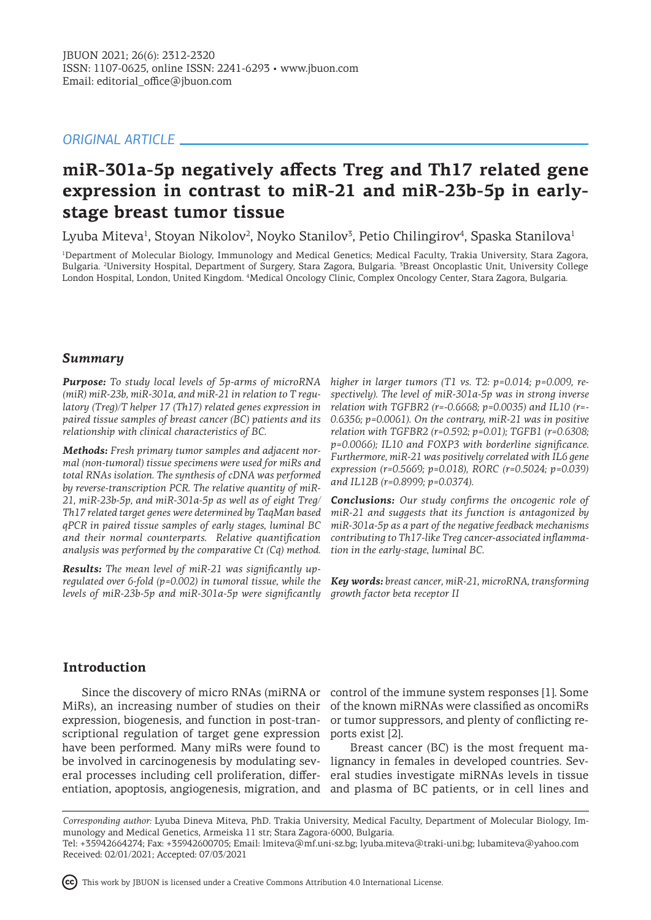## *ORIGINAL ARTICLE*

# **miR-301a-5p negatively affects Treg and Th17 related gene expression in contrast to miR-21 and miR-23b-5p in earlystage breast tumor tissue**

Lyuba Miteva<sup>1</sup>, Stoyan Nikolov<sup>2</sup>, Noyko Stanilov<sup>3</sup>, Petio Chilingirov<sup>4</sup>, Spaska Stanilova<sup>1</sup>

1 Department of Molecular Biology, Immunology and Medical Genetics; Medical Faculty, Trakia University, Stara Zagora, Bulgaria. <sup>2</sup>University Hospital, Department of Surgery, Stara Zagora, Bulgaria. <sup>3</sup>Breast Oncoplastic Unit, University College London Hospital, London, United Kingdom. <sup>4</sup> Medical Oncology Clinic, Complex Oncology Center, Stara Zagora, Bulgaria.

### *Summary*

*Purpose: To study local levels of 5p-arms of microRNA (miR) miR-23b, miR-301a, and miR-21 in relation to T regulatory (Treg)/T helper 17 (Th17) related genes expression in paired tissue samples of breast cancer (BC) patients and its relationship with clinical characteristics of BC.*

*Methods: Fresh primary tumor samples and adjacent normal (non-tumoral) tissue specimens were used for miRs and total RNAs isolation. The synthesis of cDNA was performed by reverse-transcription PCR. The relative quantity of miR-21, miR-23b-5p, and miR-301a-5p as well as of eight Treg/ Th17 related target genes were determined by TaqMan based qPCR in paired tissue samples of early stages, luminal BC and their normal counterparts. Relative quantification analysis was performed by the comparative Ct (Cq) method.*

*Results: The mean level of miR-21 was significantly upregulated over 6-fold (p=0.002) in tumoral tissue, while the levels of miR-23b-5p and miR-301a-5p were significantly* 

*higher in larger tumors (T1 vs. T2: p=0.014; p=0.009, respectively). The level of miR-301a-5p was in strong inverse relation with TGFBR2 (r=-0.6668; p=0.0035) and IL10 (r=- 0.6356; p=0.0061). On the contrary, miR-21 was in positive relation with TGFBR2 (r=0.592; p=0.01); TGFB1 (r=0.6308; p=0.0066); IL10 and FOXP3 with borderline significance. Furthermore, miR-21 was positively correlated with IL6 gene expression (r=0.5669; p=0.018), RORC (r=0.5024; p=0.039) and IL12B (r=0.8999; p=0.0374).*

*Conclusions: Our study confirms the oncogenic role of miR-21 and suggests that its function is antagonized by miR-301a-5p as a part of the negative feedback mechanisms contributing to Th17-like Treg cancer-associated inflammation in the early-stage, luminal BC.*

*Key words: breast cancer, miR-21, microRNA, transforming growth factor beta receptor II* 

# **Introduction**

expression, biogenesis, and function in post-transcriptional regulation of target gene expression have been performed. Many miRs were found to be involved in carcinogenesis by modulating sev-lignancy in females in developed countries. Several processes including cell proliferation, differ-

Since the discovery of micro RNAs (miRNA or control of the immune system responses [1]. Some MiRs), an increasing number of studies on their of the known miRNAs were classified as oncomiRs or tumor suppressors, and plenty of conflicting reports exist [2].

entiation, apoptosis, angiogenesis, migration, and and plasma of BC patients, or in cell lines and Breast cancer (BC) is the most frequent maeral studies investigate miRNAs levels in tissue

*Corresponding author:* Lyuba Dineva Miteva, PhD. Trakia University, Medical Faculty, Department of Molecular Biology, Immunology and Medical Genetics, Armeiska 11 str; Stara Zagora-6000, Bulgaria.

This work by JBUON is licensed under a Creative Commons Attribution 4.0 International License.

Tel: +35942664274; Fax: +35942600705; Email: lmiteva@mf.uni-sz.bg; lyuba.miteva@traki-uni.bg; lubamiteva@yahoo.com Received: 02/01/2021; Accepted: 07/03/2021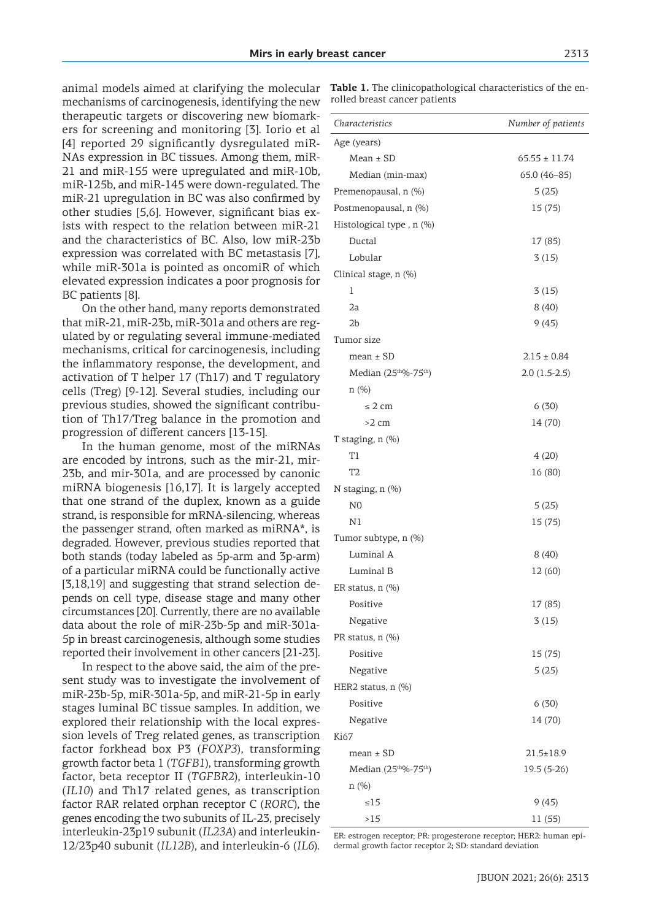animal models aimed at clarifying the molecular mechanisms of carcinogenesis, identifying the new therapeutic targets or discovering new biomarkers for screening and monitoring [3]. Iorio et al [4] reported 29 significantly dysregulated miR-NAs expression in BC tissues. Among them, miR-21 and miR-155 were upregulated and miR-10b, miR-125b, and miR-145 were down-regulated. The miR-21 upregulation in BC was also confirmed by other studies [5,6]. However, significant bias exists with respect to the relation between miR-21 and the characteristics of BC. Also, low miR-23b expression was correlated with BC metastasis [7], while miR-301a is pointed as oncomiR of which elevated expression indicates a poor prognosis for BC patients [8].

On the other hand, many reports demonstrated that miR-21, miR-23b, miR-301a and others are regulated by or regulating several immune-mediated mechanisms, critical for carcinogenesis, including the inflammatory response, the development, and activation of T helper 17 (Th17) and T regulatory cells (Treg) [9-12]. Several studies, including our previous studies, showed the significant contribution of Th17/Treg balance in the promotion and progression of different cancers [13-15].

In the human genome, most of the miRNAs are encoded by introns, such as the mir-21, mir-23b, and mir-301a, and are processed by canonic miRNA biogenesis [16,17]. It is largely accepted that one strand of the duplex, known as a guide strand, is responsible for mRNA-silencing, whereas the passenger strand, often marked as miRNA\*, is degraded. However, previous studies reported that both stands (today labeled as 5p-arm and 3p-arm) of a particular miRNA could be functionally active [3,18,19] and suggesting that strand selection depends on cell type, disease stage and many other circumstances [20]. Currently, there are no available data about the role of miR-23b-5p and miR-301a-5p in breast carcinogenesis, although some studies reported their involvement in other cancers [21-23].

In respect to the above said, the aim of the present study was to investigate the involvement of miR-23b-5p, miR-301a-5p, and miR-21-5p in early stages luminal BC tissue samples. In addition, we explored their relationship with the local expression levels of Treg related genes, as transcription factor forkhead box P3 (*FOXP3*), transforming growth factor beta 1 (*TGFB1*), transforming growth factor, beta receptor II (*TGFBR2*), interleukin-10 (*IL10*) and Th17 related genes, as transcription factor RAR related orphan receptor C (*RORC*), the genes encoding the two subunits of IL-23, precisely interleukin-23p19 subunit (*IL23A*) and interleukin-12/23p40 subunit (*IL12B*), and interleukin-6 (*IL6*). **Table 1.** The clinicopathological characteristics of the enrolled breast cancer patients

| Characteristics                   | Number of patients |
|-----------------------------------|--------------------|
| Age (years)                       |                    |
| $Mean \pm SD$                     | $65.55 \pm 11.74$  |
| Median (min-max)                  | $65.0(46-85)$      |
| Premenopausal, n (%)              | 5(25)              |
| Postmenopausal, n (%)             | 15 (75)            |
| Histological type, n (%)          |                    |
| Ductal                            | 17 (85)            |
| Lobular                           | 3(15)              |
| Clinical stage, n (%)             |                    |
| 1                                 | 3(15)              |
| 2a                                | 8(40)              |
| 2b                                | 9(45)              |
| Tumor size                        |                    |
| $mean \pm SD$                     | $2.15 \pm 0.84$    |
| Median (25 <sup>th %-75th</sup> ) | $2.0(1.5-2.5)$     |
| n(%)                              |                    |
| $\leq$ 2 cm                       | 6(30)              |
| $>2$ cm                           | 14 (70)            |
| T staging, n (%)                  |                    |
| T1                                | 4(20)              |
| T2                                | 16 (80)            |
| N staging, n (%)                  |                    |
| N0                                | 5(25)              |
| N1                                | 15 (75)            |
| Tumor subtype, n (%)              |                    |
| Luminal A                         | 8(40)              |
| Luminal B                         | 12 (60)            |
| ER status, n (%)                  |                    |
| Positive                          | 17 (85)            |
| Negative                          | 3(15)              |
| PR status, $n$ $(\%)$             |                    |
| Positive                          | 15 (75)            |
| Negative                          | 5(25)              |
| HER2 status, n (%)                |                    |
| Positive                          | 6(30)              |
| Negative                          | 14 (70)            |
| Ki67                              |                    |
| $mean \pm SD$                     | $21.5 \pm 18.9$    |
| Median (25th%-75th)               | 19.5 (5-26)        |
| n(%)                              |                    |
| $\leq 15$                         | 9(45)              |
| >15                               | 11 (55)            |

ER: estrogen receptor; PR: progesterone receptor; HER2: human epidermal growth factor receptor 2; SD: standard deviation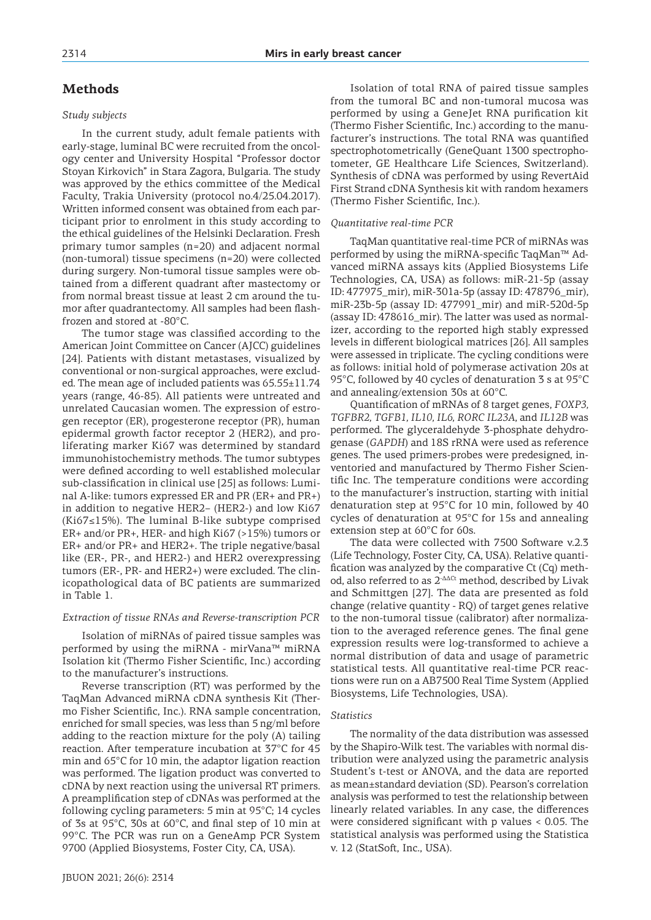### **Methods**

#### *Study subjects*

In the current study, adult female patients with early-stage, luminal BC were recruited from the oncology center and University Hospital "Professor doctor Stoyan Kirkovich" in Stara Zagora, Bulgaria. The study was approved by the ethics committee of the Medical Faculty, Trakia University (protocol no.4/25.04.2017). Written informed consent was obtained from each participant prior to enrolment in this study according to the ethical guidelines of the Helsinki Declaration. Fresh primary tumor samples (n=20) and adjacent normal (non-tumoral) tissue specimens (n=20) were collected during surgery. Non-tumoral tissue samples were obtained from a different quadrant after mastectomy or from normal breast tissue at least 2 cm around the tumor after quadrantectomy. All samples had been flashfrozen and stored at -80°C.

The tumor stage was classified according to the American Joint Committee on Cancer (AJCC) guidelines [24]. Patients with distant metastases, visualized by conventional or non-surgical approaches, were excluded. The mean age of included patients was 65.55±11.74 years (range, 46-85). All patients were untreated and unrelated Caucasian women. The expression of estrogen receptor (ER), progesterone receptor (PR), human epidermal growth factor receptor 2 (HER2), and proliferating marker Ki67 was determined by standard immunohistochemistry methods. The tumor subtypes were defined according to well established molecular sub-classification in clinical use [25] as follows: Luminal A-like: tumors expressed ER and PR (ER+ and PR+) in addition to negative HER2– (HER2-) and low Ki67 (Ki67≤15%). The luminal B-like subtype comprised ER+ and/or PR+, HER- and high Ki67 (>15%) tumors or ER+ and/or PR+ and HER2+. The triple negative/basal like (ER-, PR-, and HER2-) and HER2 overexpressing tumors (ER-, PR- and HER2+) were excluded. The clinicopathological data of BC patients are summarized in Table 1.

#### *Extraction of tissue RNAs and Reverse-transcription PCR*

Isolation of miRNAs of paired tissue samples was performed by using the miRNA - mirVana™ miRNA Isolation kit (Thermo Fisher Scientific, Inc.) according to the manufacturer's instructions.

Reverse transcription (RT) was performed by the TaqMan Advanced miRNA cDNA synthesis Kit (Thermo Fisher Scientific, Inc.). RNA sample concentration, enriched for small species, was less than 5 ng/ml before adding to the reaction mixture for the poly (A) tailing reaction. After temperature incubation at 37°C for 45 min and 65°C for 10 min, the adaptor ligation reaction was performed. The ligation product was converted to cDNA by next reaction using the universal RT primers. A preamplification step of cDNAs was performed at the following cycling parameters: 5 min at 95°C; 14 cycles of 3s at 95°C, 30s at 60°C, and final step of 10 min at 99°C. The PCR was run on a GeneAmp PCR System 9700 (Applied Biosystems, Foster City, CA, USA).

Isolation of total RNA of paired tissue samples from the tumoral BC and non-tumoral mucosa was performed by using a GeneJet RNA purification kit (Thermo Fisher Scientific, Inc.) according to the manufacturer's instructions. The total RNA was quantified spectrophotometrically (GeneQuant 1300 spectrophotometer, GE Healthcare Life Sciences, Switzerland). Synthesis of cDNA was performed by using RevertAid First Strand cDNA Synthesis kit with random hexamers (Thermo Fisher Scientific, Inc.).

#### *Quantitative real-time PCR*

TaqMan quantitative real-time PCR of miRNAs was performed by using the miRNA-specific TaqMan<sup>™</sup> Advanced miRNA assays kits (Applied Biosystems Life Technologies, CA, USA) as follows: miR-21-5p (assay ID: 477975\_mir), miR-301a-5p (assay ID: 478796\_mir), miR-23b-5p (assay ID: 477991\_mir) and miR-520d-5p (assay ID: 478616\_mir). The latter was used as normalizer, according to the reported high stably expressed levels in different biological matrices [26]. All samples were assessed in triplicate. The cycling conditions were as follows: initial hold of polymerase activation 20s at 95°C, followed by 40 cycles of denaturation 3 s at 95°C and annealing/extension 30s at 60°C.

Quantification of mRNAs of 8 target genes, *FOXP3, TGFBR2, TGFB1, IL10, IL6, RORC IL23A*, and *IL12B* was performed. The glyceraldehyde 3-phosphate dehydrogenase (*GAPDH*) and 18S rRNA were used as reference genes. The used primers-probes were predesigned, inventoried and manufactured by Thermo Fisher Scientific Inc. The temperature conditions were according to the manufacturer's instruction, starting with initial denaturation step at 95°C for 10 min, followed by 40 cycles of denaturation at 95°C for 15s and annealing extension step at 60°C for 60s.

The data were collected with 7500 Software v.2.3 (Life Technology, Foster City, CA, USA). Relative quantification was analyzed by the comparative Ct (Cq) method, also referred to as 2-ΔΔCt method, described by Livak and Schmittgen [27]. The data are presented as fold change (relative quantity - RQ) of target genes relative to the non-tumoral tissue (calibrator) after normalization to the averaged reference genes. The final gene expression results were log-transformed to achieve a normal distribution of data and usage of parametric statistical tests. All quantitative real-time PCR reactions were run on a AB7500 Real Time System (Applied Biosystems, Life Technologies, USA).

#### *Statistics*

The normality of the data distribution was assessed by the Shapiro-Wilk test. The variables with normal distribution were analyzed using the parametric analysis Student's t-test or ANOVA, and the data are reported as mean±standard deviation (SD). Pearson's correlation analysis was performed to test the relationship between linearly related variables. In any case, the differences were considered significant with p values < 0.05. The statistical analysis was performed using the Statistica v. 12 (StatSoft, Inc., USA).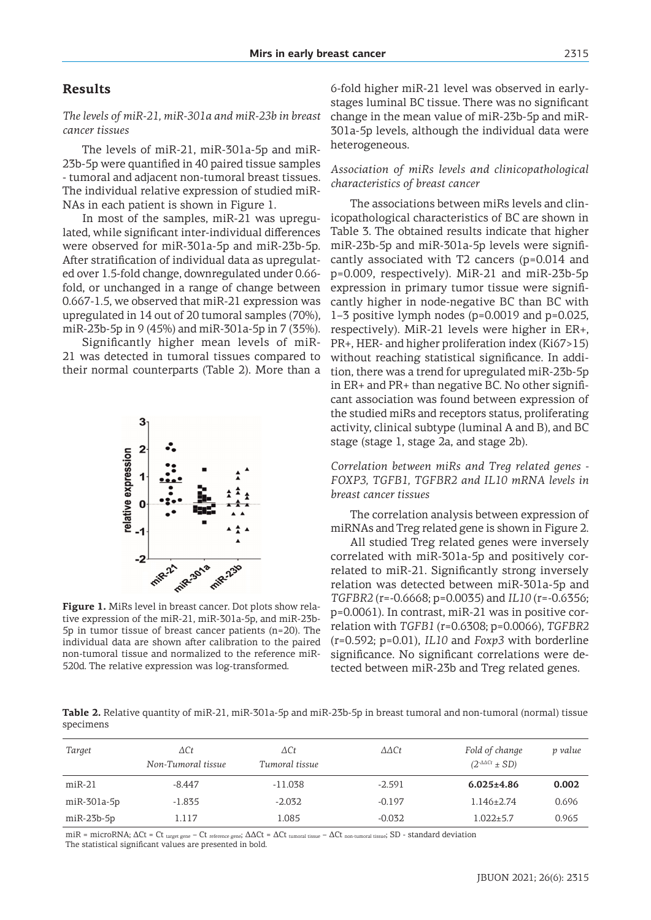# **Results**

### *The levels of miR-21, miR-301a and miR-23b in breast cancer tissues*

The levels of miR-21, miR-301a-5p and miR-23b-5p were quantified in 40 paired tissue samples - tumoral and adjacent non-tumoral breast tissues. The individual relative expression of studied miR-NAs in each patient is shown in Figure 1.

In most of the samples, miR-21 was upregulated, while significant inter-individual differences were observed for miR-301a-5p and miR-23b-5p. After stratification of individual data as upregulated over 1.5-fold change, downregulated under 0.66 fold, or unchanged in a range of change between 0.667-1.5, we observed that miR-21 expression was upregulated in 14 out of 20 tumoral samples (70%), miR-23b-5p in 9 (45%) and miR-301a-5p in 7 (35%).

Significantly higher mean levels of miR-21 was detected in tumoral tissues compared to their normal counterparts (Table 2). More than a



**Figure 1.** MiRs level in breast cancer. Dot plots show relative expression of the miR-21, miR-301a-5p, and miR-23b-5p in tumor tissue of breast cancer patients (n=20). The individual data are shown after calibration to the paired non-tumoral tissue and normalized to the reference miR-520d. The relative expression was log-transformed.

6-fold higher miR-21 level was observed in earlystages luminal BC tissue. There was no significant change in the mean value of miR-23b-5p and miR-301a-5p levels, although the individual data were heterogeneous.

### *Association of miRs levels and clinicopathological characteristics of breast cancer*

The associations between miRs levels and clinicopathological characteristics of BC are shown in Table 3. The obtained results indicate that higher miR-23b-5p and miR-301a-5p levels were significantly associated with T2 cancers (p=0.014 and p=0.009, respectively). MiR-21 and miR-23b-5p expression in primary tumor tissue were significantly higher in node-negative BC than BC with 1–3 positive lymph nodes (p=0.0019 and p=0.025, respectively). MiR-21 levels were higher in ER+, PR+, HER- and higher proliferation index (Ki67>15) without reaching statistical significance. In addition, there was a trend for upregulated miR-23b-5p in ER+ and PR+ than negative BC. No other significant association was found between expression of the studied miRs and receptors status, proliferating activity, clinical subtype (luminal A and B), and BC stage (stage 1, stage 2a, and stage 2b).

*Correlation between miRs and Treg related genes - FOXP3, TGFB1, TGFBR2 and IL10 mRNA levels in breast cancer tissues*

The correlation analysis between expression of miRNAs and Treg related gene is shown in Figure 2.

All studied Treg related genes were inversely correlated with miR-301a-5p and positively correlated to miR-21. Significantly strong inversely relation was detected between miR-301a-5p and *TGFBR2* (r=-0.6668; p=0.0035) and *IL10* (r=-0.6356; p=0.0061). In contrast, miR-21 was in positive correlation with *TGFB1* (r=0.6308; p=0.0066), *TGFBR2* (r=0.592; p=0.01), *IL10* and *Foxp3* with borderline significance. No significant correlations were detected between miR-23b and Treg related genes.

**Table 2.** Relative quantity of miR-21, miR-301a-5p and miR-23b-5p in breast tumoral and non-tumoral (normal) tissue specimens

| Target       | $\Delta C t$<br>Non-Tumoral tissue | $\Delta$ Ct<br>Tumoral tissue | $\Delta \Delta C t$ | Fold of change<br>$(2$ - $\Delta \Delta CL$ $\pm$ SD) | p value |
|--------------|------------------------------------|-------------------------------|---------------------|-------------------------------------------------------|---------|
| $miR-21$     | $-8.447$                           | $-11.038$                     | $-2.591$            | $6.025 \pm 4.86$                                      | 0.002   |
| miR-301a-5p  | $-1.835$                           | $-2.032$                      | $-0.197$            | $1.146 \pm 2.74$                                      | 0.696   |
| $miR-23b-5p$ | 1.117                              | 1.085                         | $-0.032$            | $1.022 \pm 5.7$                                       | 0.965   |

miR = microRNA;  $\Delta Ct$  = Ct  $_{\text{target gene}}$  – Ct  $_{\text{reference gene}}$ ;  $\Delta \Delta Ct$  =  $\Delta Ct$   $_{\text{tumoral tissue}}$  –  $\Delta Ct$   $_{\text{non-tumoral tissue}}$ ; SD - standard deviation The statistical significant values are presented in bold.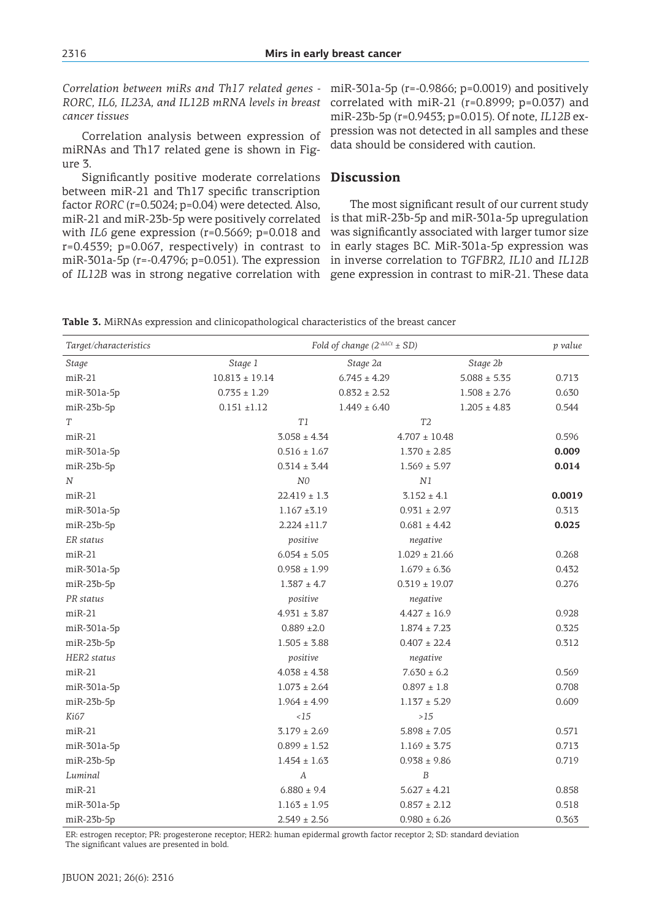*Correlation between miRs and Th17 related genes - RORC, IL6, IL23A, and IL12B mRNA levels in breast cancer tissues*

Correlation analysis between expression of miRNAs and Th17 related gene is shown in Figure 3.

Significantly positive moderate correlations between miR-21 and Th17 specific transcription factor *RORC* (r=0.5024; p=0.04) were detected. Also, miR-21 and miR-23b-5p were positively correlated with *IL6* gene expression (r=0.5669; p=0.018 and r=0.4539; p=0.067, respectively) in contrast to miR-301a-5p (r=-0.4796; p=0.051). The expression

miR-301a-5p (r=-0.9866; p=0.0019) and positively correlated with miR-21 (r=0.8999; p=0.037) and miR-23b-5p (r=0.9453; p=0.015). Of note, *IL12B* expression was not detected in all samples and these data should be considered with caution.

### **Discussion**

of *IL12B* was in strong negative correlation with gene expression in contrast to miR-21. These data The most significant result of our current study is that miR-23b-5p and miR-301a-5p upregulation was significantly associated with larger tumor size in early stages BC. MiR-301a-5p expression was in inverse correlation to *TGFBR2, IL10* and *IL12B* 

**Table 3.** MiRNAs expression and clinicopathological characteristics of the breast cancer

| Target/characteristics | Fold of change $(2^{-\Delta\Delta Ct} \pm SD)$<br>p value |                                      |                  |        |
|------------------------|-----------------------------------------------------------|--------------------------------------|------------------|--------|
| <b>Stage</b>           | Stage 1                                                   | Stage 2a                             | Stage 2b         |        |
| $miR-21$               | $10.813 \pm 19.14$                                        | $6.745 \pm 4.29$                     | $5.088 \pm 5.35$ | 0.713  |
| miR-301a-5p            | $0.735 \pm 1.29$                                          | $0.832 \pm 2.52$                     | $1.508 \pm 2.76$ | 0.630  |
| $miR-23b-5p$           | $0.151 + 1.12$                                            | $1.449 \pm 6.40$                     | $1.205 \pm 4.83$ | 0.544  |
| T                      | T1                                                        | T <sub>2</sub>                       |                  |        |
| $miR-21$               | $3.058 \pm 4.34$                                          | $4.707 \pm 10.48$                    |                  | 0.596  |
| $miR-301a-5p$          | $0.516 \pm 1.67$                                          | $1.370 \pm 2.85$                     |                  | 0.009  |
| $miR-23b-5p$           | $0.314 \pm 3.44$                                          | $1.569 \pm 5.97$                     |                  | 0.014  |
| N                      | ${\it NO}$                                                | N1                                   |                  |        |
| $miR-21$               | $22.419 \pm 1.3$                                          | $3.152 \pm 4.1$                      |                  | 0.0019 |
| $miR-301a-5p$          | $1.167 + 3.19$                                            | $0.931 \pm 2.97$                     |                  | 0.313  |
| $miR-23b-5p$           | $2.224 \pm 11.7$                                          | $0.681 \pm 4.42$                     |                  | 0.025  |
| ER status              | positive                                                  | negative                             |                  |        |
| $miR-21$               | $6.054 \pm 5.05$                                          | $1.029 \pm 21.66$                    |                  | 0.268  |
| miR-301a-5p            | $0.958 \pm 1.99$                                          | $1.679 \pm 6.36$                     |                  | 0.432  |
| $miR-23b-5p$           | $1.387 \pm 4.7$                                           | $0.319 \pm 19.07$                    |                  | 0.276  |
| PR status              | positive                                                  | negative                             |                  |        |
| $miR-21$               | $4.931 \pm 3.87$                                          | $4.427 \pm 16.9$                     |                  | 0.928  |
| miR-301a-5p            | $0.889 + 2.0$                                             | $1.874 \pm 7.23$                     |                  | 0.325  |
| $miR-23b-5p$           | $1.505 \pm 3.88$                                          | $0.407 \pm 22.4$                     |                  | 0.312  |
| HER2 status            | positive                                                  | negative                             |                  |        |
| $miR-21$               | $4.038 \pm 4.38$                                          | $7.630 \pm 6.2$                      |                  | 0.569  |
| $miR-301a-5p$          | $1.073 \pm 2.64$                                          | $0.897 \pm 1.8$                      |                  | 0.708  |
| $miR-23b-5p$           | $1.964 \pm 4.99$                                          | $1.137 \pm 5.29$                     |                  | 0.609  |
| Ki67                   | <15                                                       | $>15$                                |                  |        |
| $miR-21$               | $3.179\pm2.69$                                            | $5.898\pm7.05$                       |                  | 0.571  |
| $miR-301a-5p$          | $1.169 \pm 3.75$<br>$0.899 \pm 1.52$                      |                                      | 0.713            |        |
| $miR-23b-5p$           | $1.454 \pm 1.63$                                          | $0.938 \pm 9.86$                     |                  | 0.719  |
| Luminal                | A                                                         | $\boldsymbol{B}$                     |                  |        |
| $miR-21$               | $6.880 \pm 9.4$                                           | $5.627 \pm 4.21$                     |                  | 0.858  |
| miR-301a-5p            |                                                           | $1.163 \pm 1.95$<br>$0.857 \pm 2.12$ |                  | 0.518  |
| $miR-23b-5p$           | $0.980 \pm 6.26$<br>$2.549 \pm 2.56$                      |                                      | 0.363            |        |

ER: estrogen receptor; PR: progesterone receptor; HER2: human epidermal growth factor receptor 2; SD: standard deviation The significant values are presented in bold.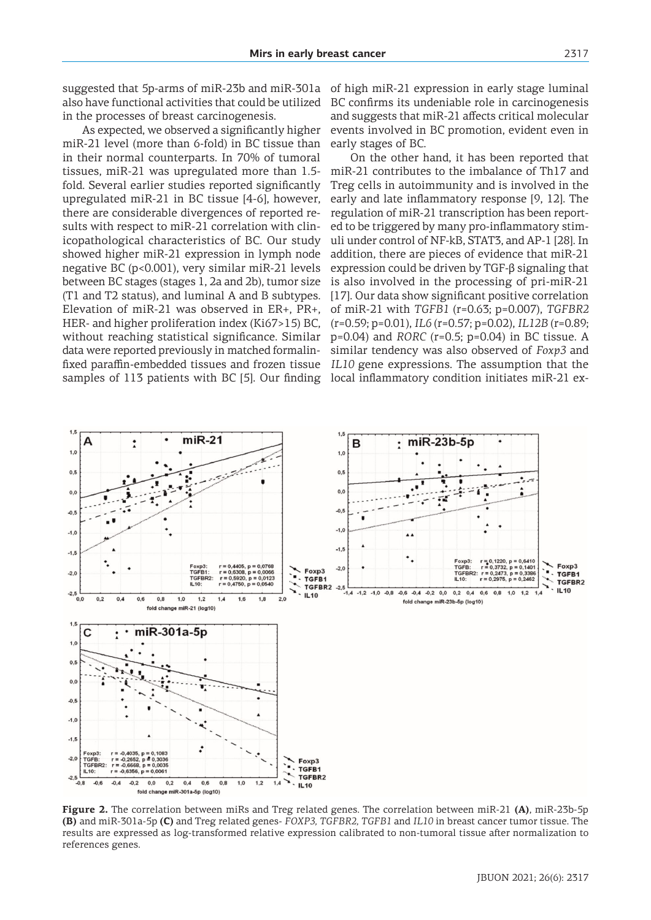As expected, we observed a significantly higher miR-21 level (more than 6-fold) in BC tissue than in their normal counterparts. In 70% of tumoral tissues, miR-21 was upregulated more than 1.5 fold. Several earlier studies reported significantly upregulated miR-21 in BC tissue [4-6], however, there are considerable divergences of reported results with respect to miR-21 correlation with clinicopathological characteristics of BC. Our study showed higher miR-21 expression in lymph node negative BC (p<0.001), very similar miR-21 levels between BC stages (stages 1, 2a and 2b), tumor size (T1 and T2 status), and luminal A and B subtypes. Elevation of miR-21 was observed in ER+, PR+, HER- and higher proliferation index (Ki67>15) BC, without reaching statistical significance. Similar data were reported previously in matched formalinfixed paraffin-embedded tissues and frozen tissue samples of 113 patients with BC [5]. Our finding

of high miR-21 expression in early stage luminal BC confirms its undeniable role in carcinogenesis and suggests that miR-21 affects critical molecular events involved in BC promotion, evident even in early stages of BC.

On the other hand, it has been reported that miR-21 contributes to the imbalance of Th17 and Treg cells in autoimmunity and is involved in the early and late inflammatory response [9, 12]. The regulation of miR-21 transcription has been reported to be triggered by many pro-inflammatory stimuli under control of NF-kB, STAT3, and AP-1 [28]. In addition, there are pieces of evidence that miR-21 expression could be driven by TGF-β signaling that is also involved in the processing of pri-miR-21 [17]. Our data show significant positive correlation of miR-21 with *TGFB1* (r=0.63; p=0.007), *TGFBR2* (r=0.59; p=0.01), *IL6* (r=0.57; p=0.02), *IL12B* (r=0.89; p=0.04) and *RORC* (r=0.5; p=0.04) in BC tissue. A similar tendency was also observed of *Foxp3* and *IL10* gene expressions. The assumption that the local inflammatory condition initiates miR-21 ex-



**Figure 2.** The correlation between miRs and Treg related genes. The correlation between miR-21 **(A)**, miR-23b-5p **(B)** and miR-301a-5p **(C)** and Treg related genes- *FOXP3, TGFBR2, TGFB1* and *IL10* in breast cancer tumor tissue. The results are expressed as log-transformed relative expression calibrated to non-tumoral tissue after normalization to references genes.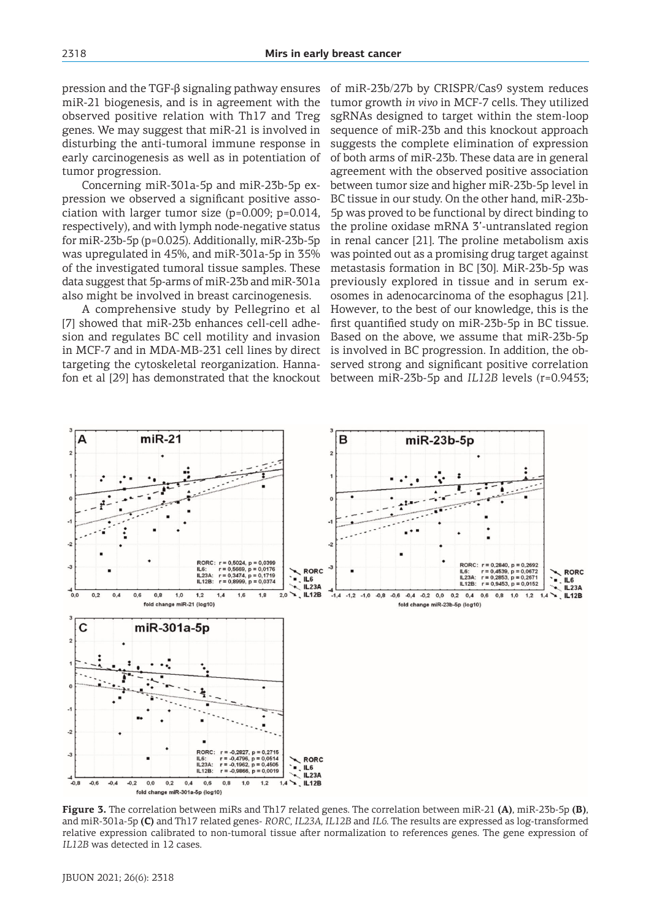pression and the TGF-β signaling pathway ensures miR-21 biogenesis, and is in agreement with the observed positive relation with Th17 and Treg genes. We may suggest that miR-21 is involved in disturbing the anti-tumoral immune response in early carcinogenesis as well as in potentiation of tumor progression.

Concerning miR-301a-5p and miR-23b-5p expression we observed a significant positive association with larger tumor size (p=0.009; p=0.014, respectively), and with lymph node-negative status for miR-23b-5p (p=0.025). Additionally, miR-23b-5p was upregulated in 45%, and miR-301a-5p in 35% of the investigated tumoral tissue samples. These data suggest that 5p-arms of miR-23b and miR-301a also might be involved in breast carcinogenesis.

A comprehensive study by Pellegrino et al [7] showed that miR-23b enhances cell-cell adhesion and regulates BC cell motility and invasion in MCF-7 and in MDA-MB-231 cell lines by direct targeting the cytoskeletal reorganization. Hannafon et al [29] has demonstrated that the knockout of miR-23b/27b by CRISPR/Cas9 system reduces tumor growth *in vivo* in MCF-7 cells. They utilized sgRNAs designed to target within the stem-loop sequence of miR-23b and this knockout approach suggests the complete elimination of expression of both arms of miR-23b. These data are in general agreement with the observed positive association between tumor size and higher miR-23b-5p level in BC tissue in our study. On the other hand, miR-23b-5p was proved to be functional by direct binding to the proline oxidase mRNA 3'-untranslated region in renal cancer [21]. The proline metabolism axis was pointed out as a promising drug target against metastasis formation in BC [30]. MiR-23b-5p was previously explored in tissue and in serum exosomes in adenocarcinoma of the esophagus [21]. However, to the best of our knowledge, this is the first quantified study on miR-23b-5p in BC tissue. Based on the above, we assume that miR-23b-5p is involved in BC progression. In addition, the observed strong and significant positive correlation between miR-23b-5p and *IL12B* levels (r=0.9453;



**Figure 3.** The correlation between miRs and Th17 related genes. The correlation between miR-21 **(A)**, miR-23b-5p **(B)**, and miR-301a-5p **(C)** and Th17 related genes- *RORC, IL23A, IL12B* and *IL6*. The results are expressed as log-transformed relative expression calibrated to non-tumoral tissue after normalization to references genes. The gene expression of *IL12B* was detected in 12 cases.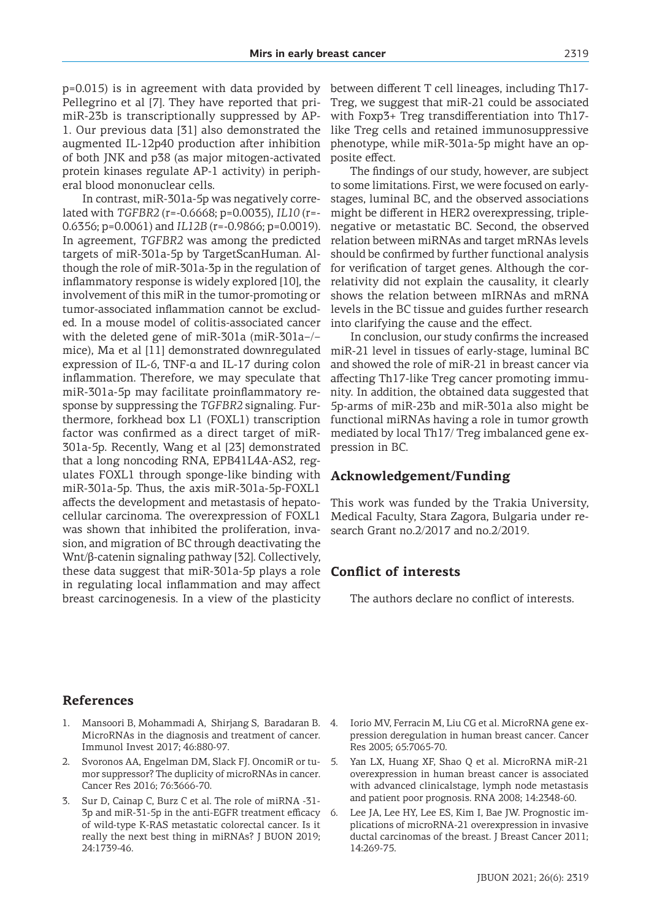p=0.015) is in agreement with data provided by Pellegrino et al [7]. They have reported that primiR-23b is transcriptionally suppressed by AP-1. Our previous data [31] also demonstrated the augmented IL-12p40 production after inhibition of both JNK and p38 (as major mitogen-activated protein kinases regulate AP-1 activity) in peripheral blood mononuclear cells.

In contrast, miR-301a-5p was negatively correlated with *TGFBR2* (r=-0.6668; p=0.0035), *IL10* (r=- 0.6356; p=0.0061) and *IL12B* (r=-0.9866; p=0.0019). In agreement, *TGFBR2* was among the predicted targets of miR-301a-5p by TargetScanHuman. Although the role of miR-301a-3p in the regulation of inflammatory response is widely explored [10], the involvement of this miR in the tumor-promoting or tumor-associated inflammation cannot be excluded. In a mouse model of colitis-associated cancer with the deleted gene of miR-301a (miR-301a−/− mice), Ma et al [11] demonstrated downregulated expression of IL-6, TNF-α and IL-17 during colon inflammation. Therefore, we may speculate that miR-301a-5p may facilitate proinflammatory response by suppressing the *TGFBR2* signaling. Furthermore, forkhead box L1 (FOXL1) transcription factor was confirmed as a direct target of miR-301a-5p. Recently, Wang et al [23] demonstrated that a long noncoding RNA, EPB41L4A-AS2, regulates FOXL1 through sponge-like binding with miR-301a-5p. Thus, the axis miR-301a-5p-FOXL1 affects the development and metastasis of hepatocellular carcinoma. The overexpression of FOXL1 was shown that inhibited the proliferation, invasion, and migration of BC through deactivating the Wnt/β-catenin signaling pathway [32]. Collectively, these data suggest that miR-301a-5p plays a role in regulating local inflammation and may affect breast carcinogenesis. In a view of the plasticity

between different T cell lineages, including Th17- Treg, we suggest that miR-21 could be associated with Foxp3+ Treg transdifferentiation into Th17 like Treg cells and retained immunosuppressive phenotype, while miR-301a-5p might have an opposite effect.

The findings of our study, however, are subject to some limitations. First, we were focused on earlystages, luminal BC, and the observed associations might be different in HER2 overexpressing, triplenegative or metastatic BC. Second, the observed relation between miRNAs and target mRNAs levels should be confirmed by further functional analysis for verification of target genes. Although the correlativity did not explain the causality, it clearly shows the relation between mIRNAs and mRNA levels in the BC tissue and guides further research into clarifying the cause and the effect.

In conclusion, our study confirms the increased miR-21 level in tissues of early-stage, luminal BC and showed the role of miR-21 in breast cancer via affecting Th17-like Treg cancer promoting immunity. In addition, the obtained data suggested that 5p-arms of miR-23b and miR-301a also might be functional miRNAs having a role in tumor growth mediated by local Th17/ Treg imbalanced gene expression in BC.

### **Acknowledgement/Funding**

This work was funded by the Trakia University, Medical Faculty, Stara Zagora, Bulgaria under research Grant no.2/2017 and no.2/2019.

## **Conflict of interests**

The authors declare no conflict of interests.

### **References**

- 1. Mansoori B, Mohammadi A, Shirjang S, Baradaran B. MicroRNAs in the diagnosis and treatment of cancer. Immunol Invest 2017; 46:880-97.
- 2. Svoronos AA, Engelman DM, Slack FJ. OncomiR or tumor suppressor? The duplicity of microRNAs in cancer. Cancer Res 2016; 76:3666-70.
- 3. Sur D, Cainap C, Burz C et al. The role of miRNA -31- 3p and miR-31-5p in the anti-EGFR treatment efficacy of wild-type K-RAS metastatic colorectal cancer. Is it really the next best thing in miRNAs? J BUON 2019; 24:1739-46.
- 4. Iorio MV, Ferracin M, Liu CG et al. MicroRNA gene expression deregulation in human breast cancer. Cancer Res 2005; 65:7065-70.
- 5. Yan LX, Huang XF, Shao Q et al. MicroRNA miR-21 overexpression in human breast cancer is associated with advanced clinicalstage, lymph node metastasis and patient poor prognosis. RNA 2008; 14:2348-60.
- 6. Lee JA, Lee HY, Lee ES, Kim I, Bae JW. Prognostic implications of microRNA-21 overexpression in invasive ductal carcinomas of the breast. J Breast Cancer 2011; 14:269-75.